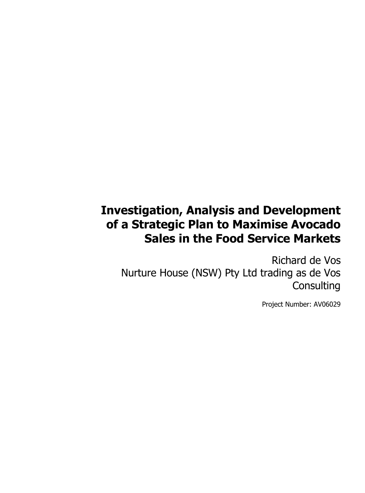# **Investigation, Analysis and Development of a Strategic Plan to Maximise Avocado Sales in the Food Service Markets**

Richard de Vos Nurture House (NSW) Pty Ltd trading as de Vos **Consulting** 

Project Number: AV06029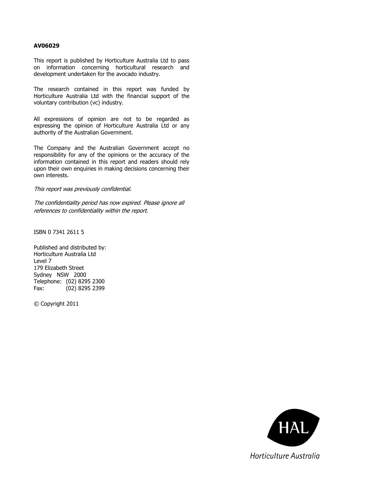### **AV06029**

This report is published by Horticulture Australia Ltd to pass on information concerning horticultural research and development undertaken for the avocado industry.

The research contained in this report was funded by Horticulture Australia Ltd with the financial support of the voluntary contribution (vc) industry.

All expressions of opinion are not to be regarded as expressing the opinion of Horticulture Australia Ltd or any authority of the Australian Government.

The Company and the Australian Government accept no responsibility for any of the opinions or the accuracy of the information contained in this report and readers should rely upon their own enquiries in making decisions concerning their own interests.

#### This report was previously confidential.

The confidentiality period has now expired. Please ignore all references to confidentiality within the report.

ISBN 0 7341 2611 5

Published and distributed by: Horticulture Australia Ltd Level 7 179 Elizabeth Street Sydney NSW 2000 Telephone: (02) 8295 2300 Fax: (02) 8295 2399

© Copyright 2011

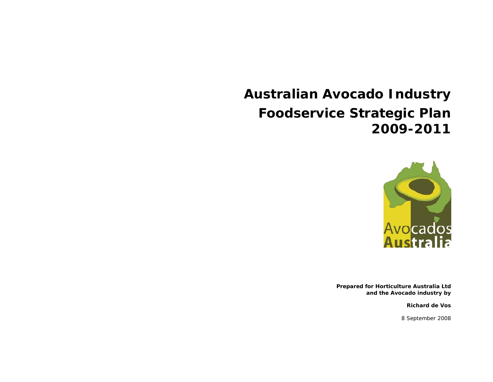# **Australian Avocado Industry Foodservice Strategic Plan 2009-2011**



*Prepared for Horticulture Australia Ltd and the Avocado industry by* 

*Richard de Vos* 

*8 September 2008*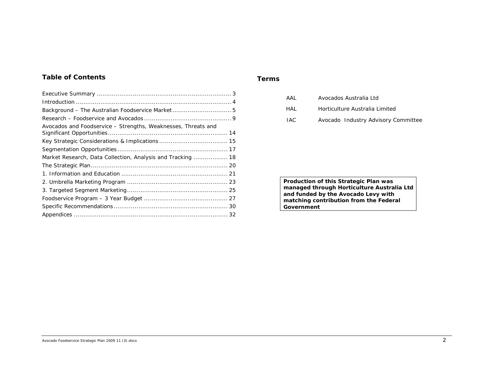# *Table of Contents*

| Background - The Australian Foodservice Market 5              |  |
|---------------------------------------------------------------|--|
|                                                               |  |
| Avocados and Foodservice - Strengths, Weaknesses, Threats and |  |
|                                                               |  |
|                                                               |  |
| Market Research, Data Collection, Analysis and Tracking  18   |  |
|                                                               |  |
|                                                               |  |
|                                                               |  |
|                                                               |  |
|                                                               |  |
|                                                               |  |
|                                                               |  |
|                                                               |  |

#### *Terms*

| AAI  | Avocados Australia Ltd              |
|------|-------------------------------------|
| HAI  | Horticulture Australia Limited      |
| IAC. | Avocado Industry Advisory Committee |

*Production of this Strategic Plan was managed through Horticulture Australia Ltd and funded by the Avocado Levy with matching contribution from the Federal Government*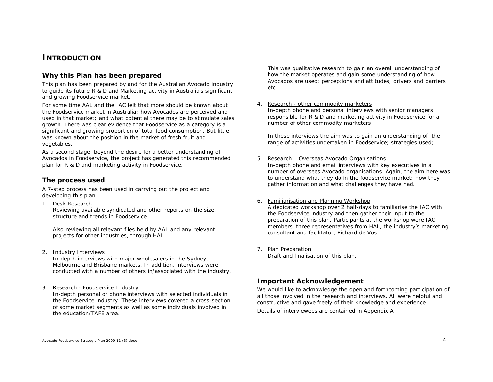# **INTRODUCTION**

# *Why this Plan has been prepared*

This plan has been prepared by and for the Australian Avocado industry to guide its future R & D and Marketing activity in Australia's significant and growing Foodservice market.

For some time AAL and the IAC felt that more should be known about the Foodservice market in Australia; how Avocados are perceived and used in that market; and what potential there may be to stimulate sales growth. There was clear evidence that Foodservice as a category is a significant and growing proportion of total food consumption. But little was known about the position in the market of fresh fruit and vegetables.

As a second stage, beyond the desire for a better understanding of Avocados in Foodservice, the project has generated this recommended plan for R & D and marketing activity in Foodservice.

# *The process used*

A 7-step process has been used in carrying out the project and developing this plan

1. Desk Research

Reviewing available syndicated and other reports on the size, structure and trends in Foodservice.

Also reviewing all relevant files held by AAL and any relevant projects for other industries, through HAL.

2. Industry Interviews

In-depth interviews with major wholesalers in the Sydney, Melbourne and Brisbane markets. In addition, interviews were conducted with a number of others in/associated with the industry. |

3. <u>Research - Foodservice Industry</u>

In-depth personal or phone interviews with selected individuals in the Foodservice industry. These interviews covered a cross-section of some market segments as well as some individuals involved in the education/TAFE area.

This was qualitative research to gain an overall understanding of how the market operates and gain some understanding of how Avocados are used; perceptions and attitudes; drivers and barriers etc.

#### 4.Research - other commodity marketers

In-depth phone and personal interviews with senior managers responsible for R & D and marketing activity in Foodservice for a number of other commodity marketers

In these interviews the aim was to gain an understanding of the range of activities undertaken in Foodservice; strategies used;

#### 5. Research – Overseas Avocado Organisations

In-depth phone and email interviews with key executives in a number of oversees Avocado organisations. Again, the aim here was to understand what they do in the foodservice market; how they gather information and what challenges they have had.

#### 6. Familiarisation and Planning Workshop

A dedicated workshop over 2 half-days to familiarise the IAC with the Foodservice industry and then gather their input to the preparation of this plan. Participants at the workshop were IAC members, three representatives from HAL, the industry's marketing consultant and facilitator, Richard de Vos

7. Plan Preparation

Draft and finalisation of this plan.

# *Important Acknowledgement*

We would like to acknowledge the open and forthcoming participation of all those involved in the research and interviews. All were helpful and constructive and gave freely of their knowledge and experience.

Details of interviewees are contained in Appendix A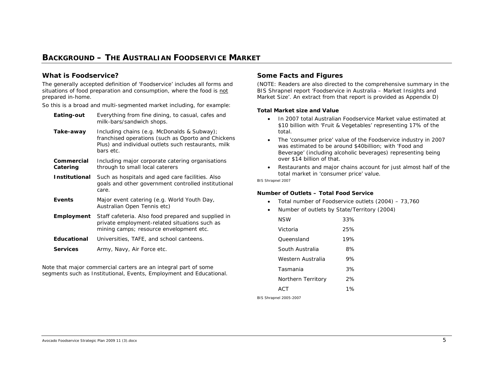# **BACKGROUND – THE AUSTRALIAN FOODSERVICE MARKET**

# *What is Foodservice?*

The generally accepted definition of 'Foodservice' includes all forms and situations of food preparation and consumption, where the food is not prepared in-home.

So this is a broad and multi-segmented market including, for example:

| Eating-out             | Everything from fine dining, to casual, cafes and<br>milk-bars/sandwich shops.                                                                                        |
|------------------------|-----------------------------------------------------------------------------------------------------------------------------------------------------------------------|
| Take-away              | Including chains (e.g. McDonalds & Subway);<br>franchised operations (such as Oporto and Chickens<br>Plus) and individual outlets such restaurants, milk<br>bars etc. |
| Commercial<br>Catering | Including major corporate catering organisations<br>through to small local caterers                                                                                   |
| Institutional          | Such as hospitals and aged care facilities. Also<br>goals and other government controlled institutional<br>care.                                                      |
| Events                 | Major event catering (e.g. World Youth Day,<br>Australian Open Tennis etc)                                                                                            |
| <b>Employment</b>      | Staff cafeteria. Also food prepared and supplied in<br>private employment-related situations such as<br>mining camps; resource envelopment etc.                       |
| <b>Educational</b>     | Universities, TAFE, and school canteens.                                                                                                                              |
| <b>Services</b>        | Army, Navy, Air Force etc.                                                                                                                                            |

Note that major commercial carters are an integral part of some segments such as Institutional, Events, Employment and Educational.

# *Some Facts and Figures*

*(NOTE: Readers are also directed to the comprehensive summary in the BIS Shrapnel report 'Foodservice in Australia – Market Insights and Market Size'. An extract from that report is provided as Appendix D)* 

#### **Total Market size and Value**

- In 2007 total Australian Foodservice Market value estimated at \$10 billion with 'Fruit & Vegetables' representing 17% of the total.
- The 'consumer price' value of the Foodservice industry in 2007 was estimated to be around \$40billion; with 'Food and Beverage' (including alcoholic beverages) representing being over \$14 billion of that.
- Restaurants and major chains account for just almost half of the total market in 'consumer price' value.

*BIS Shrapnel 2007* 

#### **Number of Outlets – Total Food Service**

- Total number of Foodservice outlets (2004) 73,760
- •Number of outlets by State/Territory (2004)

| NSW                | 33% |
|--------------------|-----|
| Victoria           | 25% |
| Oueensland         | 19% |
| South Australia    | 8%  |
| Western Australia  | 9%  |
| Tasmania           | 3%  |
| Northern Territory | 2%  |
| AC.T               | 1%  |

*BIS Shrapnel 2005-2007*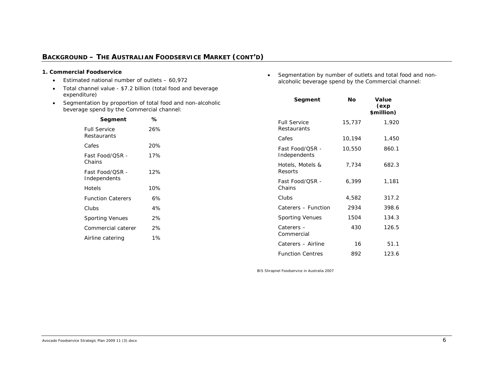# **BACKGROUND – THE AUSTRALIAN FOODSERVICE MARKET** *(CONT'D)*

#### **1. Commercial Foodservice**

- Estimated national number of outlets 60,972
- Total channel value \$7.2 billion (total food and beverage expenditure)
- • Segmentation by proportion of total food and non-alcoholic beverage spend by the Commercial channel:

| Segment                            | ℅   |
|------------------------------------|-----|
| <b>Full Service</b><br>Restaurants | 26% |
| Cafes                              | 20% |
| Fast Food/OSR -<br>Chains          | 17% |
| Fast Food/OSR -<br>Independents    | 12% |
| Hotels                             | 10% |
| <b>Function Caterers</b>           | 6%  |
| Clubs                              | 4%  |
| <b>Sporting Venues</b>             | 2%  |
| Commercial caterer                 | 2%  |
| Airline catering                   | 1%  |
|                                    |     |

• Segmentation by number of outlets and total food and nonalcoholic beverage spend by the Commercial channel:

| Segment                                | Nο     | Value<br>(exp<br>\$million) |
|----------------------------------------|--------|-----------------------------|
| <b>Full Service</b><br>Restaurants     | 15,737 | 1,920                       |
| Cafes                                  | 10,194 | 1,450                       |
| <b>Fast Food/OSR -</b><br>Independents | 10,550 | 860.1                       |
| Hotels, Motels &<br>Resorts            | 7,734  | 682.3                       |
| Fast Food/OSR -<br>Chains              | 6.399  | 1,181                       |
| Clubs                                  | 4,582  | 317.2                       |
| Caterers - Function                    | 2934   | 398.6                       |
| <b>Sporting Venues</b>                 | 1504   | 134.3                       |
| Caterers-<br>Commercial                | 430    | 126.5                       |
| Caterers - Airline                     | 16     | 51.1                        |
| <b>Function Centres</b>                | 892    | 123.6                       |

*BIS Shrapnel Foodservice in Australia 2007*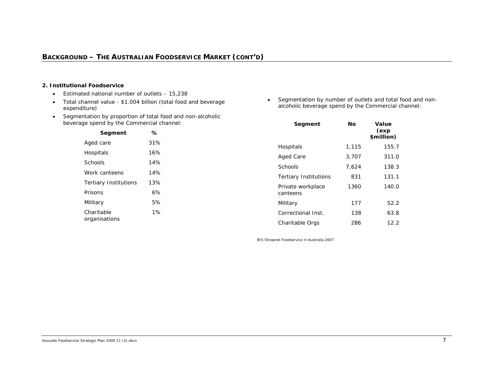#### **2. Institutional Foodservice**

- Estimated national number of outlets 15,238
- Total channel value \$1.004 billion (total food and beverage expenditure)
- Segmentation by proportion of total food and non-alcoholic beverage spend by the Commercial channel:

| Segment                      | ℅   |
|------------------------------|-----|
| Aged care                    | 31% |
| Hospitals                    | 16% |
| Schools                      | 14% |
| Work canteens                | 14% |
| <b>Tertiary Institutions</b> | 13% |
| Prisons                      | 6%  |
| Military                     | 5%  |
| Charitable<br>organisations  | 1%  |

• Segmentation by number of outlets and total food and nonalcoholic beverage spend by the Commercial channel:

| Segment                       | Νo    | Value<br>(exp<br>\$million) |
|-------------------------------|-------|-----------------------------|
| Hospitals                     | 1,115 | 155.7                       |
| Aged Care                     | 3,707 | 311.0                       |
| Schools                       | 7.624 | 138.3                       |
| <b>Tertiary Institutions</b>  | 831   | 131.1                       |
| Private workplace<br>canteens | 1360  | 140.0                       |
| Military                      | 177   | 52.2                        |
| Correctional Inst.            | 138   | 63.8                        |
| Charitable Orgs               | 286   | 12.2                        |

*BIS Shrapnel Foodservice in Australia 2007*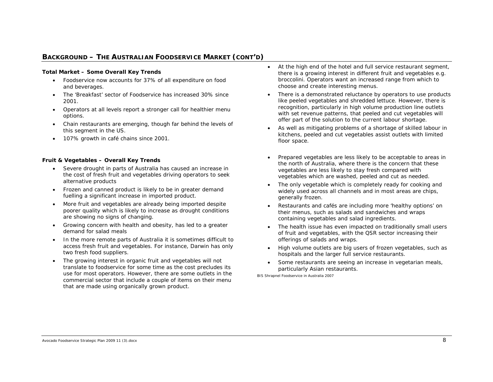# **BACKGROUND – THE AUSTRALIAN FOODSERVICE MARKET** *(CONT'D)*

#### **Total Market – Some Overall Key Trends**

- • Foodservice now accounts for 37% of all expenditure on food and beverages.
- • The 'Breakfast' sector of Foodservice has increased 30% since 2001.
- • Operators at all levels report a stronger call for healthier menu options.
- • Chain restaurants are emerging, though far behind the levels of this segment in the US.
- 107% growth in café chains since 2001.

#### **Fruit & Vegetables – Overall Key Trends**

- Severe drought in parts of Australia has caused an increase in the cost of fresh fruit and vegetables driving operators to seek alternative products
- • Frozen and canned product is likely to be in greater demand fuelling a significant increase in imported product.
- • More fruit and vegetables are already being imported despite poorer quality which is likely to increase as drought conditions are showing no signs of changing.
- • Growing concern with health and obesity, has led to a greater demand for salad meals
- • In the more remote parts of Australia it is sometimes difficult to access fresh fruit and vegetables. For instance, Darwin has only two fresh food suppliers.
- • The growing interest in organic fruit and vegetables will not translate to foodservice for some time as the cost precludes its use for most operators. However, there are some outlets in the commercial sector that include a couple of items on their menu that are made using organically grown product.
- • At the high end of the hotel and full service restaurant segment, there is a growing interest in different fruit and vegetables e.g. broccolini. Operators want an increased range from which to choose and create interesting menus.
- There is a demonstrated reluctance by operators to use products like peeled vegetables and shredded lettuce. However, there is recognition, particularly in high volume production line outlets with set revenue patterns, that peeled and cut vegetables will offer part of the solution to the current labour shortage.
- • As well as mitigating problems of a shortage of skilled labour in kitchens, peeled and cut vegetables assist outlets with limited floor space.
- • Prepared vegetables are less likely to be acceptable to areas in the north of Australia, where there is the concern that these vegetables are less likely to stay fresh compared with vegetables which are washed, peeled and cut as needed.
- • The only vegetable which is completely ready for cooking and widely used across all channels and in most areas are chips, generally frozen.
- • Restaurants and cafés are including more 'healthy options' on their menus, such as salads and sandwiches and wraps containing vegetables and salad ingredients.
- The health issue has even impacted on traditionally small users of fruit and vegetables, with the QSR sector increasing their offerings of salads and wraps.
- High volume outlets are big users of frozen vegetables, such as hospitals and the larger full service restaurants.
- • Some restaurants are seeing an increase in vegetarian meals, particularly Asian restaurants.

*BIS Shrapnel Foodservice in Australia 2007*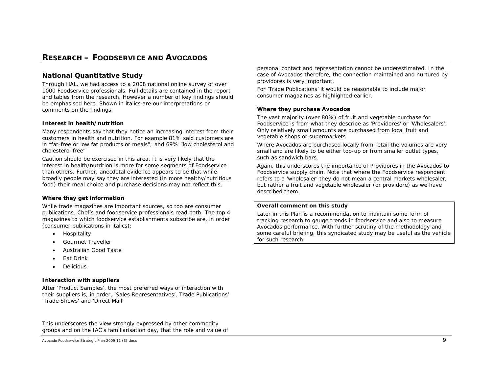# **RESEARCH – FOODSERVICE AND AVOCADOS**

# *National Quantitative Study*

Through HAL, we had access to a 2008 national online survey of over 1000 Foodservice professionals. Full details are contained in the report and tables from the research. However a number of key findings should be emphasised here. Shown in italics are our interpretations or comments on the findings.

#### **Interest in health/nutrition**

Many respondents *say* that they notice an increasing interest from their customers in health and nutrition. For example 81% said customers are in "fat-free or low fat products or meals"; and 69% "low cholesterol and cholesterol free"

*Caution should be exercised in this area. It is very likely that the interest in health/nutrition is more for some segments of Foodservice than others. Further, anecdotal evidence appears to be that while broadly people may say they are interested (in more healthy/nutritious food) their meal choice and purchase decisions may not reflect this.* 

#### **Where they get information**

While trade magazines are important sources, so too are consumer publications. Chef's and foodservice professionals read both. The top 4 magazines to which foodservice establishments subscribe are, in order (consumer publications in italics):

- •Hospitality
- •*Gourmet Traveller*
- •*Australian Good Taste*
- •Eat Drink
- •*Delicious.*

#### **Interaction with suppliers**

After 'Product Samples', the most preferred ways of interaction with their suppliers is, in order, 'Sales Representatives', Trade Publications' 'Trade Shows' and 'Direct Mail'

*This underscores the view strongly expressed by other commodity groups and on the IAC's familiarisation day, that the role and value of* 

*personal contact and representation cannot be underestimated. In the case of Avocados therefore, the connection maintained and nurtured by providores is very important.* 

*For 'Trade Publications' it would be reasonable to include major consumer magazines as highlighted earlier.* 

#### **Where they purchase Avocados**

The vast majority (over 80%) of fruit and vegetable purchase for Foodservice is from what they describe as 'Providores' or 'Wholesalers'. Only relatively small amounts are purchased from local fruit and vegetable shops or supermarkets.

*Where Avocados are purchased locally from retail the volumes are very small and are likely to be either top-up or from smaller outlet types, such as sandwich bars.* 

*Again, this underscores the importance of Providores in the Avocados to Foodservice supply chain. Note that where the Foodservice respondent refers to a 'wholesaler' they do not mean a central markets wholesaler, but rather a fruit and vegetable wholesaler (or providore) as we have described them.* 

#### *Overall comment on this study*

Later in this Plan is a recommendation to maintain some form of *tracking research to gauge trends in foodservice and also to measure Avocados performance. With further scrutiny of the methodology and some careful briefing, this syndicated study may be useful as the vehicle for such research* 

Avocado Foodservice Strategic Plan 2009 11 (3).docx 9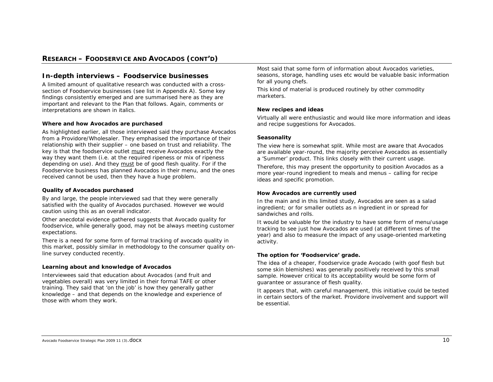### **RESEARCH – FOODSERVICE AND AVOCADOS (CONT'D)**

#### *In-depth interviews – Foodservice businesses*

A limited amount of qualitative research was conducted with a crosssection of Foodservice businesses (see list in Appendix A). Some key findings consistently emerged and are summarised here as they are important and relevant to the Plan that follows. Again, comments or interpretations are shown in italics.

#### **Where and how Avocados are purchased**

As highlighted earlier, all those interviewed said they purchase Avocados from a Providore/Wholesaler. They emphasised the importance of their relationship with their supplier – one based on trust and reliability. The key is that the foodservice outlet must receive Avocados exactly the way they want them (i.e. at the required ripeness or mix of ripeness depending on use). And they must be of good flesh quality. For if the Foodservice business has planned Avocados in their menu, and the ones received cannot be used, then they have a huge problem.

#### **Quality of Avocados purchased**

By and large, the people interviewed sad that they were generally satisfied with the quality of Avocados purchased. However we would caution using this as an overall indicator.

Other anecdotal evidence gathered suggests that Avocado quality for foodservice, while generally good, may not be always meeting customer expectations.

*There is a need for some form of formal tracking of avocado quality in this market, possibly similar in methodology to the consumer quality online survey conducted recently.* 

#### **Learning about and knowledge of Avocados**

Interviewees said that education about Avocados (and fruit and vegetables overall) was very limited in their formal TAFE or other training. They said that 'on the job' is how they generally gather knowledge – and that depends on the knowledge and experience of those with whom they work.

*Most said that some form of information about Avocados varieties, seasons, storage, handling uses etc would be valuable basic information for all young chefs.*

This kind of material is produced routinely by other commodity marketers.

#### **New recipes and ideas**

Virtually all were enthusiastic and would like more information and ideas and recipe suggestions for Avocados.

#### **Seasonality**

The view here is somewhat split. While most are aware that Avocados are available year-round, the majority perceive Avocados as essentially <sup>a</sup>'Summer' product. This links closely with their current usage.

*Therefore, this may present the opportunity to position Avocados as a more year-round ingredient to meals and menus – calling for recipe ideas and specific promotion.* 

#### **How Avocados are currently used**

In the main and in this limited study, Avocados are seen as a salad ingredient; or for smaller outlets as n ingredient in or spread for sandwiches and rolls.

*It would be valuable for the industry to have some form of menu/usage tracking to see just how Avocados are used (at different times of the year) and also to measure the impact of any usage-oriented marketing activity.* 

#### **The option for 'Foodservice' grade.**

The idea of a cheaper, Foodservice grade Avocado (with goof flesh but some skin blemishes) was generally positively received by this small sample. However critical to its acceptability would be some form of guarantee or assurance of flesh quality.

*It appears that, with careful management, this initiative could be tested in certain sectors of the market. Providore involvement and support will be essential.*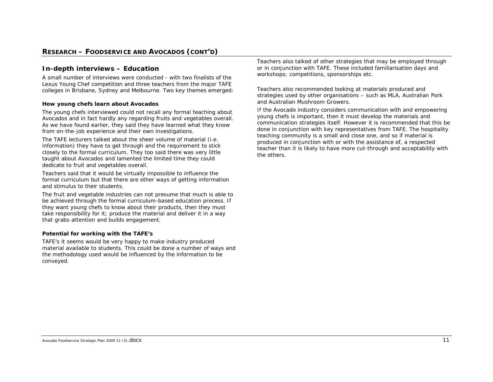# *In-depth interviews – Education*

A small number of interviews were conducted - with two finalists of the Lexus Young Chef competition and three teachers from the major TAFE colleges in Brisbane, Sydney and Melbourne. Two key themes emerged:

#### **How young chefs learn about Avocados**

The young chefs interviewed could not recall any formal teaching about Avocados and in fact hardly any regarding fruits and vegetables overall. As we have found earlier, they said they have learned what they know from on-the-job experience and their own investigations.

The TAFE lecturers talked about the sheer volume of material (i.e. information) they have to get through and the requirement to stick closely to the formal curriculum. They too said there was very little taught about Avocados and lamented the limited time they could dedicate to fruit and vegetables overall.

Teachers said that it would be virtually impossible to influence the formal curriculum but that there are other ways of getting information and stimulus to their students.

The fruit and vegetable industries can not presume that much is able to be achieved through the formal curriculum-based education process. If they want young chefs to know about their products, then they must take responsibility for it; produce the material and deliver it in a way that grabs attention and builds engagement.

#### **Potential for working with the TAFE's**

TAFE's it seems would be very happy to make industry produced material available to students. This could be done a number of ways and the methodology used would be influenced by the information to be conveyed.

Teachers also talked of other strategies that may be employed through or in conjunction with TAFE. These included familiarisation days and workshops; competitions, sponsorships etc.

Teachers also recommended looking at materials produced and strategies used by other organisations – such as MLA, Australian Pork and Australian Mushroom Growers.

*If the Avocado industry considers communication with and empowering young chefs is important, then it must develop the materials and communication strategies itself. However it is recommended that this be done in conjunction with key representatives from TAFE. The hospitality teaching community is a small and close one, and so if material is produced in conjunction with or with the assistance of, a respected teacher than it is likely to have more cut-through and acceptability with the others.*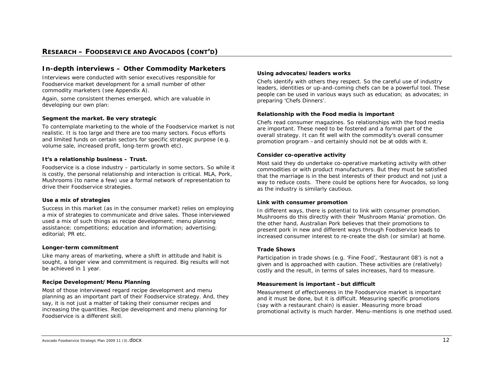# *In-depth interviews – Other Commodity Marketers*

Interviews were conducted with senior executives responsible for Foodservice market development for a small number of other commodity marketers (see Appendix A).

Again, some consistent themes emerged, which are valuable in developing our own plan:

#### **Segment the market. Be very strategic**

To contemplate marketing to the whole of the Foodservice market is not realistic. It is too large and there are too many sectors. Focus efforts and limited funds on certain sectors for specific strategic purpose (e.g. volume sale, increased profit, long-term growth etc).

#### **It's a relationship business – Trust.**

Foodservice is a close industry – particularly in some sectors. So while it is costly, the personal relationship and interaction is critical. MLA, Pork, Mushrooms (to name a few) use a formal network of representation to drive their Foodservice strategies.

#### **Use a mix of strategies**

Success in this market (as in the consumer market) relies on employing a mix of strategies to communicate and drive sales. Those interviewed used a mix of such things as recipe development; menu planning assistance; competitions; education and information; advertising; editorial; PR etc.

#### **Longer-term commitment**

Like many areas of marketing, where a shift in attitude and habit is sought, a longer view and commitment is required. Big results will not be achieved in 1 year.

#### **Recipe Development/Menu Planning**

Most of those interviewed regard recipe development and menu planning as an important part of their Foodservice strategy. And, they say, it is not just a matter of taking their consumer recipes and increasing the quantities. Recipe development and menu planning for Foodservice is a different skill.

#### **Using advocates/leaders works**

Chefs identify with others they respect. So the careful use of industry leaders, identities or up-and-coming chefs can be a powerful tool. These people can be used in various ways such as education; as advocates; in preparing 'Chefs Dinners'.

#### **Relationship with the Food media is important**

Chefs read consumer magazines. So relationships with the food media are important. These need to be fostered and a formal part of the overall strategy. It can fit well with the commodity's overall consumer promotion program –and certainly should not be at odds with it.

#### **Consider co-operative activity**

Most said they do undertake co-operative marketing activity with other commodities or with product manufacturers. But they must be satisfied that the marriage is in the best interests of their product and not just a way to reduce costs. There could be options here for Avocados, so long as the industry is similarly cautious.

#### **Link with consumer promotion**

In different ways, there is potential to link with consumer promotion. Mushrooms do this directly with their 'Mushroom Mania' promotion. On the other hand, Australian Pork believes that their promotions to present pork in new and different ways through Foodservice leads to increased consumer interest to re-create the dish (or similar) at home.

#### **Trade Shows**

Participation in trade shows (e.g. 'Fine Food', 'Restaurant 08') is not a given and is approached with caution. These activities are (relatively) costly and the result, in terms of sales increases, hard to measure.

#### **Measurement is important –but difficult**

Measurement of effectiveness in the Foodservice market is important and it must be done, but it is difficult. Measuring specific promotions (say with a restaurant chain) is easier. Measuring more broad promotional activity is much harder. Menu-mentions is one method used.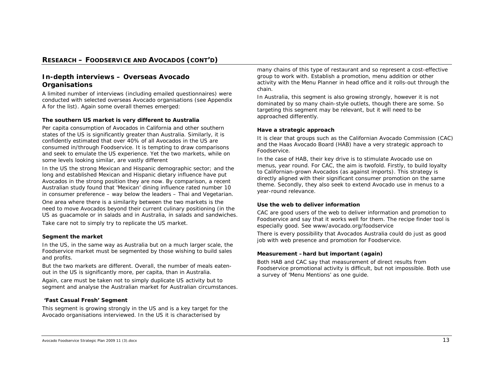# *In-depth interviews – Overseas Avocado Organisations*

A limited number of interviews (including emailed questionnaires) were conducted with selected overseas Avocado organisations (see Appendix A for the list). Again some overall themes emerged:

#### **The southern US market is very different to Australia**

Per capita consumption of Avocados in California and other southern states of the US is significantly greater than Australia. Similarly, it is confidently estimated that over 40% of all Avocados in the US are consumed in/through Foodservice. It is tempting to draw comparisons and seek to emulate the US experience. Yet the two markets, while on some levels looking similar, are vastly different

In the US the strong Mexican and Hispanic demographic sector; and the long and established Mexican and Hispanic dietary influence have put Avocados in the strong position they are now. By comparison, a recent Australian study found that 'Mexican' dining influence rated number 10 in consumer preference – way below the leaders – Thai and Vegetarian.

One area where there is a similarity between the two markets is the need to move Avocados beyond their current culinary positioning (in the US as guacamole or in salads and in Australia, in salads and sandwiches.

*Take care not to simply try to replicate the US market.* 

#### **Segment the market**

In the US, in the same way as Australia but on a much larger scale, the Foodservice market must be segmented by those wishing to build sales and profits.

But the two markets are different. Overall, the number of meals eatenout in the US is significantly more, per capita, than in Australia.

*Again, care must be taken not to simply duplicate US activity but to segment and analyse the Australian market for Australian circumstances.* 

#### **'Fast Casual Fresh' Segment**

This segment is growing strongly in the US and is a key target for the Avocado organisations interviewed. In the US it is characterised by

many chains of this type of restaurant and so represent a cost-effective group to work with. Establish a promotion, menu addition or other activity with the Menu Planner in head office and it rolls-out through the chain.

*In Australia, this segment is also growing strongly, however it is not dominated by so many chain-style outlets, though there are some. So targeting this segment may be relevant, but it will need to be approached differently.* 

#### **Have a strategic approach**

It is clear that groups such as the Californian Avocado Commission (CAC) and the Haas Avocado Board (HAB) have a very strategic approach to Foodservice.

In the case of HAB, their key drive is to stimulate Avocado use on menus, year round. For CAC, the aim is twofold. Firstly, to build loyalty to Californian-grown Avocados (as against imports). This strategy is directly aligned with their significant consumer promotion on the same theme. Secondly, they also seek to extend Avocado use in menus to a year-round relevance.

#### **Use the web to deliver information**

CAC are good users of the web to deliver information and promotion to Foodservice and say that it works well for them. The recipe finder tool is especially good. See www/avocado.org/foodservice

*There is every possibility that Avocados Australia could do just as good job with web presence and promotion for Foodservice.* 

#### **Measurement –hard but important (again)**

Both HAB and CAC say that measurement of direct results from Foodservice promotional activity is difficult, but not impossible. Both use a survey of 'Menu Mentions' as one guide.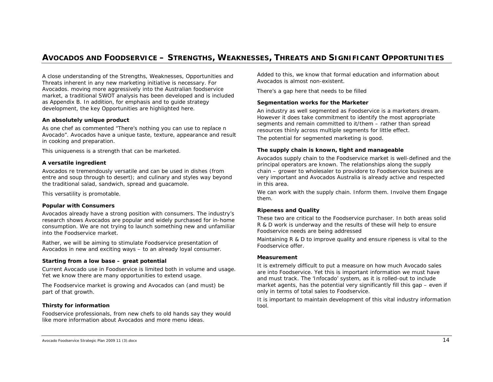# **AVOCADOS AND FOODSERVICE – STRENGTHS, WEAKNESSES, THREATS AND SIGNIFICANT OPPORTUNITIES**

A close understanding of the Strengths, Weaknesses, Opportunities and Threats inherent in any new marketing initiative is necessary. For Avocados. moving more aggressively into the Australian foodservice market, a traditional SWOT analysis has been developed and is included as Appendix B. In addition, for emphasis and to guide strategy development, the key Opportunities are highlighted here.

#### **An absolutely unique product**

As one chef as commented "There's nothing you can use to replace n Avocado". Avocados have a unique taste, texture, appearance and result in cooking and preparation.

*This uniqueness is a strength that can be marketed.* 

#### **A versatile ingredient**

Avocados re tremendously versatile and can be used in dishes (from entre and soup through to desert); and culinary and styles way beyond the traditional salad, sandwich, spread and guacamole.

*This versatility is promotable.* 

#### **Popular with Consumers**

Avocados already have a strong position with consumers. The industry's research shows Avocados are popular and widely purchased for in-home consumption. We are not trying to launch something new and unfamiliar into the Foodservice market.

*Rather, we will be aiming to stimulate Foodservice presentation of Avocados in new and exciting ways – to an already loyal consumer.* 

#### **Starting from a low base – great potential**

Current Avocado use in Foodservice is limited both in volume and usage. Yet we know there are many opportunities to extend usage.

*The Foodservice market is growing and Avocados can (and must) be part of that growth.* 

#### **Thirsty for information**

Foodservice professionals, from new chefs to old hands say they would like more information about Avocados and more menu ideas.

Added to this, we know that formal education and information about Avocados is almost non-existent.

*There's a gap here that needs to be filled* 

#### **Segmentation works for the Marketer**

An industry as well segmented as Foodservice is a marketers dream. However it does take commitment to identify the most appropriate segments and remain committed to it/them – rather than spread resources thinly across multiple segments for little effect.

*The potential for segmented marketing is good.* 

#### **The supply chain is known, tight and manageable**

Avocados supply chain to the Foodservice market is well-defined and the principal operators are known. The relationships along the supply chain – grower to wholesaler to providore to Foodservice business are very important and Avocados Australia is already active and respected in this area.

*We can work with the supply chain. Inform them. Involve them Engage them.* 

#### **Ripeness and Quality**

These two are critical to the Foodservice purchaser. In both areas solid R & D work is underway and the results of these will help to ensure Foodservice needs are being addressed

*Maintaining R & D to improve quality and ensure ripeness is vital to the Foodservice offer.* 

#### **Measurement**

It is extremely difficult to put a measure on how much Avocado sales are into Foodservice. Yet this is important information we must have and must track. The 'Infocado' system, as it is rolled-out to include market agents, has the potential very significantly fill this gap – even if only in terms of total sales to Foodservice.

*It is important to maintain development of this vital industry information tool.*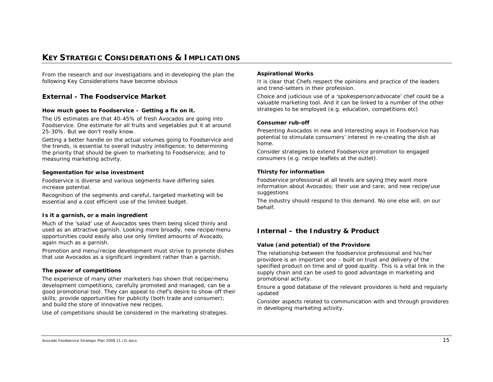# **KEY STRATEGIC CONSIDERATIONS & IMPLICATIONS**

From the research and our investigations and in developing the plan the following Key Considerations have become obvious

# *External - The Foodservice Market*

#### **How much goes to Foodservice – Getting a fix on it.**

The US estimates are that 40-45% of fresh Avocados are going into Foodservice. One estimate for all fruits and vegetables put it at around 25-30%. But we don't really know.

*Getting a better handle on the actual volumes going to Foodservice and the trends, is essential to overall industry intelligence; to determining the priority that should be given to marketing to Foodservice; and to measuring marketing activity.* 

#### **Segmentation for wise investment**

Foodservice is diverse and various segments have differing sales increase potential.

*Recognition of the segments and careful, targeted marketing will be essential and a cost efficient use of the limited budget.* 

#### **Is it a garnish, or a main ingredient**

Much of the 'salad' use of Avocados sees them being sliced thinly and used as an attractive garnish. Looking more broadly, new recipe/menu opportunities could easily also use only limited amounts of Avocado, again much as a garnish.

*Promotion and menu/recipe development must strive to promote dishes that use Avocados as a significant ingredient rather than a garnish.* 

#### **The power of competitions**

The experience of many other marketers has shown that recipe/menu development competitions, carefully promoted and managed, can be a good promotional tool. They can appeal to chef's desire to show-off their skills; provide opportunities for publicity (both trade and consumer); and build the store of innovative new recipes.

*Use of competitions should be considered in the marketing strategies.* 

#### **Aspirational Works**

It is clear that Chefs respect the opinions and practice of the leaders and trend-setters in their profession.

*Choice and judicious use of a 'spokesperson/advocate' chef could be a*  valuable marketing tool. And it can be linked to a number of the other *strategies to be employed (e.g. education, competitions etc)* 

#### **Consumer rub-off**

Presenting Avocados in new and interesting ways in Foodservice has potential to stimulate consumers' interest in re-creating the dish at home.

*Consider strategies to extend Foodservice promotion to engaged consumers (e.g. recipe leaflets at the outlet).* 

#### **Thirsty for information**

Foodservice professional at all levels are saying they want more information about Avocados; their use and care; and new recipe/use suggestions

*The industry should respond to this demand. No one else will, on our behalf.* 

# *Internal – the Industry & Product*

#### **Value (and potential) of the Providore**

The relationship between the foodservice professional and his/her providore is an important one – built on trust and delivery of the specified product on time and of good quality. This is a vital link in the supply chain and can be used to good advantage in marketing and promotional activity.

*Ensure a good database of the relevant providores is held and regularly updated* 

*Consider aspects related to communication with and through providores in developing marketing activity.*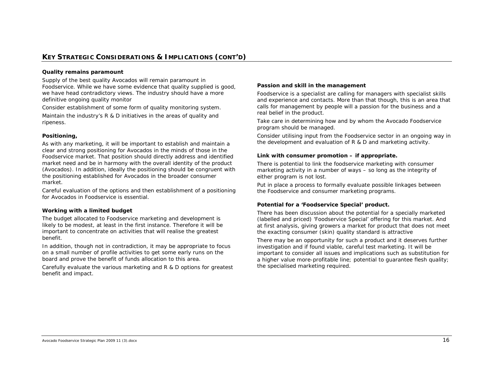# **KEY STRATEGIC CONSIDERATIONS & IMPLICATIONS (CONT'D)**

#### **Quality remains paramount**

Supply of the best quality Avocados will remain paramount in Foodservice. While we have some evidence that quality supplied is good, we have head contradictory views. The industry should have a more definitive ongoing quality monitor

*Consider establishment of some form of quality monitoring system.* 

*Maintain the industry's R & D initiatives in the areas of quality and ripeness.* 

#### **Positioning,**

As with any marketing, it will be important to establish and maintain a clear and strong positioning for Avocados in the minds of those in the Foodservice market. That position should directly address and identified market need and be in harmony with the overall identity of the product (Avocados). In addition, ideally the positioning should be congruent with the positioning established for Avocados in the broader consumer market.

Careful evaluation of the options and then establishment of a positioning for Avocados in Foodservice is essential.

#### **Working with a limited budget**

The budget allocated to Foodservice marketing and development is likely to be modest, at least in the first instance. Therefore it will be important to concentrate on activities that will realise the greatest benefit.

In addition, though not in contradiction, it may be appropriate to focus on a small number of profile activities to get some early runs on the board and prove the benefit of funds allocation to this area.

*Carefully evaluate the various marketing and R & D options for greatest benefit and impact.* 

#### **Passion and skill in the management**

Foodservice is a specialist are calling for managers with specialist skills and experience and contacts. More than that though, this is an area that calls for management by people will a passion for the business and a real belief in the product.

*Take care in determining how and by whom the Avocado Foodservice program should be managed.* 

*Consider utilising input from the Foodservice sector in an ongoing way in the development and evaluation of R & D and marketing activity.*

#### **Link with consumer promotion – if appropriate.**

There is potential to link the foodservice marketing with consumer marketing activity in a number of ways – so long as the integrity of either program is not lost.

*Put in place a process to formally evaluate possible linkages between the Foodservice and consumer marketing programs.* 

#### **Potential for a 'Foodservice Special' product.**

There has been discussion about the potential for a specially marketed (labelled and priced) 'Foodservice Special' offering for this market. And at first analysis, giving growers a market for product that does not meet the exacting consumer (skin) quality standard is attractive

*There may be an opportunity for such a product and it deserves further investigation and if found viable, careful test marketing. It will be important to consider all issues and implications such as substitution for a higher value more-profitable line; potential to guarantee flesh quality; the specialised marketing required.*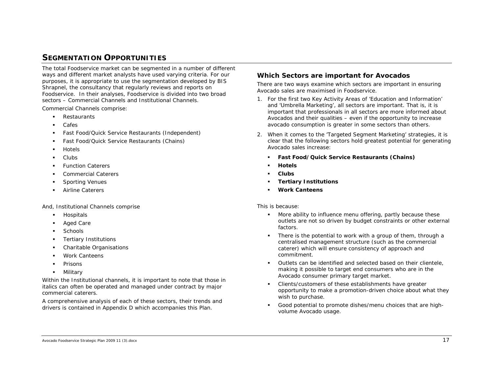# **SEGMENTATION OPPORTUNITIES**

The total Foodservice market can be segmented in a number of different ways and different market analysts have used varying criteria. For our purposes, it is appropriate to use the segmentation developed by BIS Shrapnel, the consultancy that regularly reviews and reports on Foodservice. In their analyses, Foodservice is divided into two broad sectors – Commercial Channels and Institutional Channels.

Commercial Channels comprise:

- $\blacksquare$ Restaurants
- $\blacksquare$ Cafes
- $\blacksquare$ Fast Food/Quick Service Restaurants (Independent)
- $\blacksquare$ Fast Food/Quick Service Restaurants (Chains)
- $\blacksquare$ Hotels
- $\blacksquare$ Clubs
- г Function Caterers
- г Commercial Caterers
- г Sporting Venues
- г Airline Caterers

And, Institutional Channels comprise

- $\blacksquare$ *Hospitals*
- $\blacksquare$ *Aged Care*
- $\blacksquare$ **Schools**
- $\blacksquare$ *Tertiary Institutions*
- $\blacksquare$ Charitable Organisations
- п *Work Canteens*
- $\blacksquare$ *Prisons*
- $\blacksquare$ Military

Within the Institutional channels, it is important to note that those in italics can often be operated and managed under contract by major commercial caterers.

A comprehensive analysis of each of these sectors, their trends and drivers is contained in Appendix D which accompanies this Plan.

### *Which Sectors are important for Avocados*

There are two ways examine which sectors are important in ensuring Avocado sales are maximised in Foodservice.

- 1. For the first two Key Activity Areas of 'Education and Information' and 'Umbrella Marketing', all sectors are important. That is, it is important that professionals in all sectors are more informed about Avocados and their qualities – even if the opportunity to increase avocado consumption is greater in some sectors than others.
- 2. When it comes to the 'Targeted Segment Marketing' strategies, it is clear that the following sectors hold greatest potential for generating Avocado sales increase:
	- г **Fast Food/Quick Service Restaurants (Chains)**
	- **Hotels**
	- Е **Clubs**
	- n *Tertiary Institutions*
	- г *Work Canteens*

#### This is because:

- More ability to influence menu offering, partly because these outlets are not so driven by budget constraints or other external factors.
- 8 There is the potential to work with a group of them, through a centralised management structure (such as the commercial caterer) which will ensure consistency of approach and commitment.
- Outlets can be identified and selected based on their clientele, making it possible to target end consumers who are in the Avocado consumer primary target market.
- n Clients/customers of these establishments have greater opportunity to make a promotion-driven choice about what they wish to purchase.
- $\mathbf{r}$  Good potential to promote dishes/menu choices that are highvolume Avocado usage.

Avocado Foodservice Strategic Plan 2009 11 (3).docx 17 and 2008 11 and 2008 17 and 2009 11 (3).docx 17 and 2009 11 (3).docx 17 and 2009 11 (3).docx 17 and 2009 11 (3).docx 17 and 2009 11 (3).docx 17 and 2009 11 (3).docx 17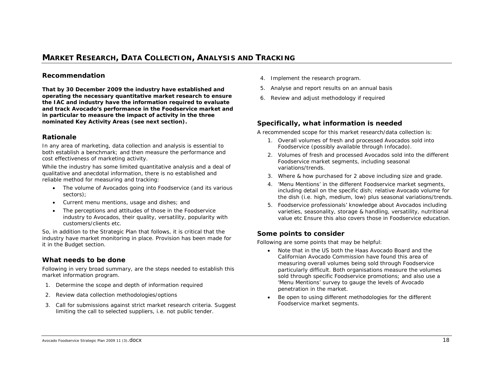# **MARKET RESEARCH, DATA COLLECTION, ANALYSIS AND TRACKING**

# *Recommendation*

**That by 30 December 2009 the industry have established and operating the necessary quantitative market research to ensure the IAC and industry have the information required to evaluate and track Avocado's performance in the Foodservice market and in particular to measure the impact of activity in the three nominated Key Activity Areas (see next section).** 

# *Rationale*

In any area of marketing, data collection and analysis is essential to both establish a benchmark; and then measure the performance and cost effectiveness of marketing activity.

While the industry has some limited quantitative analysis and a deal of qualitative and anecdotal information, there is no established and reliable method for measuring and tracking:

- The volume of Avocados going into Foodservice (and its various sectors);
- •Current menu mentions, usage and dishes; and
- • The perceptions and attitudes of those in the Foodservice industry to Avocados, their quality, versatility, popularity with customers/clients etc.

So, in addition to the Strategic Plan that follows, it is critical that the industry have market monitoring in place. Provision has been made for it in the Budget section.

# *What needs to be done*

Following in very broad summary, are the steps needed to establish this market information program.

- 1. Determine the scope and depth of information required
- 2. Review data collection methodologies/options
- 3. Call for submissions against strict market research criteria. Suggest limiting the call to selected suppliers, i.e. not public tender.
- 4. Implement the research program.
- 5. Analyse and report results on an annual basis
- 6. Review and adjust methodology if required

### *Specifically, what information is needed*

A recommended scope for this market research/data collection is:

- 1. Overall volumes of fresh and processed Avocados sold into Foodservice (possibly available through Infocado).
- 2. Volumes of fresh and processed Avocados sold into the different Foodservice market segments, including seasonal variations/trends.
- 3. Where & how purchased for 2 above including size and grade.
- 4. 'Menu Mentions' in the different Foodservice market segments, including detail on the specific dish; relative Avocado volume for the dish (i.e. high, medium, low) plus seasonal variations/trends.
- 5. Foodservice professionals' knowledge about Avocados including varieties, seasonality, storage & handling, versatility, nutritional value etc Ensure this also covers those in Foodservice education.

# *Some points to consider*

Following are some points that may be helpful:

- Note that in the US both the Haas Avocado Board and the Californian Avocado Commission have found this area of measuring overall volumes being sold through Foodservice particularly difficult. Both organisations measure the volumes sold through specific Foodservice promotions; and also use a 'Menu Mentions' survey to gauge the levels of Avocado penetration in the market.
- • Be open to using different methodologies for the different Foodservice market segments.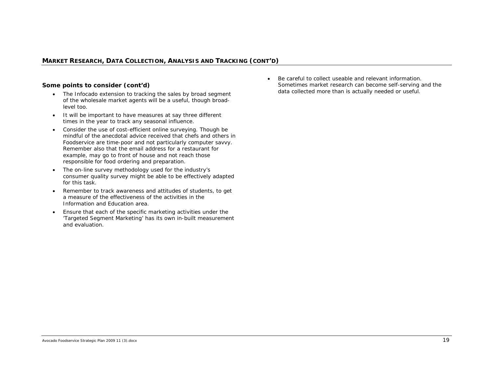### *MARKET RESEARCH, DATA COLLECTION, ANALYSIS AND TRACKING (CONT'D)*

#### *Some points to consider (cont'd)*

- The Infocado extension to tracking the sales by broad segment of the wholesale market agents will be a useful, though broadlevel too.
- It will be important to have measures at say three different times in the year to track any seasonal influence.
- Consider the use of cost-efficient online surveying. Though be mindful of the anecdotal advice received that chefs and others in Foodservice are time-poor and not particularly computer savvy. Remember also that the email address for a restaurant for example, may go to front of house and not reach those responsible for food ordering and preparation.
- The on-line survey methodology used for the industry's consumer quality survey might be able to be effectively adapted for this task.
- Remember to track awareness and attitudes of students, to get a measure of the effectiveness of the activities in the Information and Education area.
- • Ensure that each of the specific marketing activities under the 'Targeted Segment Marketing' has its own in-built measurement and evaluation.

• Be careful to collect useable and relevant information. Sometimes market research can become self-serving and the data collected more than is actually needed or useful.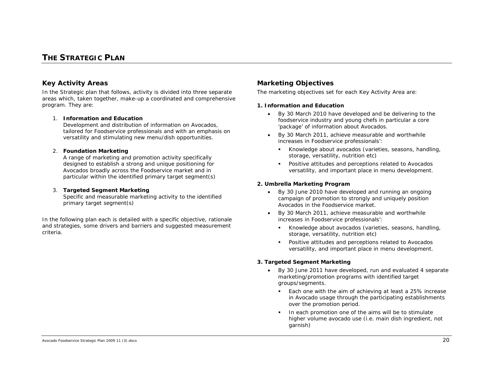# **THE STRATEGIC PLAN**

# *Key Activity Areas*

In the Strategic plan that follows, activity is divided into three separate areas which, taken together, make-up a coordinated and comprehensive program. They are:

#### 1. **Information and Education**

Development and distribution of information on Avocados, tailored for Foodservice professionals and with an emphasis on versatility and stimulating new menu/dish opportunities.

#### 2. **Foundation Marketing**

A range of marketing and promotion activity specifically designed to establish a strong and unique positioning for Avocados broadly across the Foodservice market and in particular within the identified primary target segment(s)

#### 3. **Targeted Segment Marketing**

Specific and measurable marketing activity to the identified primary target segment(s)

In the following plan each is detailed with a specific objective, rationale and strategies, some drivers and barriers and suggested measurement criteria.

# *Marketing Objectives*

The marketing objectives set for each Key Activity Area are:

#### **1. Information and Education**

- *By 30 March 2010 have developed and be delivering to the foodservice industry and young chefs in particular a core 'package' of information about Avocados.*
- *By 30 March 2011, achieve measurable and worthwhile increases in Foodservice professionals':* 
	- *Knowledge about avocados (varieties, seasons, handling, storage, versatility, nutrition etc)*
	- *Positive attitudes and perceptions related to Avocados versatility, and important place in menu development.*

#### **2. Umbrella Marketing Program**

- • *By 30 June 2010 have developed and running an ongoing campaign of promotion to strongly and uniquely position Avocados in the Foodservice market.*
- • *By 30 March 2011, achieve measurable and worthwhile increases in Foodservice professionals':* 
	- *Knowledge about avocados (varieties, seasons, handling, storage, versatility, nutrition etc)*
	- *Positive attitudes and perceptions related to Avocados versatility, and important place in menu development.*

#### **3. Targeted Segment Marketing**

- *By 30 June 2011 have developed, run and evaluated 4 separate marketing/promotion programs with identified target groups/segments.* 
	- *Each one with the aim of achieving at least a 25% increase in Avocado usage through the participating establishments over the promotion period.*
	- *In each promotion one of the aims will be to stimulate higher volume avocado use (i.e. main dish ingredient, not garnish)*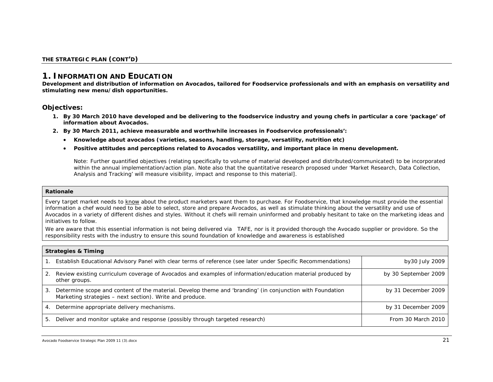# *1. INFORMATION AND EDUCATION*

**Development and distribution of information on Avocados, tailored for Foodservice professionals and with an emphasis on versatility and stimulating new menu/dish opportunities.**

### **Objectives:**

- *1. By 30 March 2010 have developed and be delivering to the foodservice industry and young chefs in particular a core 'package' of information about Avocados.*
- *2. By 30 March 2011, achieve measurable and worthwhile increases in Foodservice professionals':*
	- *Knowledge about avocados (varieties, seasons, handling, storage, versatility, nutrition etc)*
	- •*Positive attitudes and perceptions related to Avocados versatility, and important place in menu development.*

*Note: Further quantified objectives (relating specifically to volume of material developed and distributed/communicated) to be incorporated within the annual implementation/action plan. Note also that the quantitative research proposed under 'Market Research, Data Collection, Analysis and Tracking' will measure visibility, impact and response to this material].* 

#### *Rationale*

*Every target market needs to know about the product marketers want them to purchase. For Foodservice, that knowledge must provide the essential information a chef would need to be able to select, store and prepare Avocados, as well as stimulate thinking about the versatility and use of Avocados in a variety of different dishes and styles. Without it chefs will remain uninformed and probably hesitant to take on the marketing ideas and initiatives to follow.* 

*We are aware that this essential information is not being delivered via TAFE, nor is it provided thorough the Avocado supplier or providore. So the*  responsibility rests with the industry to ensure this sound foundation of knowledge and awareness is established

|    | <b>Strategies &amp; Timing</b>                                                                                                                                        |                      |  |  |
|----|-----------------------------------------------------------------------------------------------------------------------------------------------------------------------|----------------------|--|--|
|    | Establish Educational Advisory Panel with clear terms of reference (see later under Specific Recommendations)                                                         | by30 July 2009       |  |  |
| 2. | Review existing curriculum coverage of Avocados and examples of information/education material produced by<br>other groups.                                           | by 30 September 2009 |  |  |
| 3. | Determine scope and content of the material. Develop theme and 'branding' (in conjunction with Foundation<br>Marketing strategies – next section). Write and produce. | by 31 December 2009  |  |  |
| 4. | Determine appropriate delivery mechanisms.                                                                                                                            | by 31 December 2009  |  |  |
| 5. | Deliver and monitor uptake and response (possibly through targeted research)                                                                                          | From 30 March 2010   |  |  |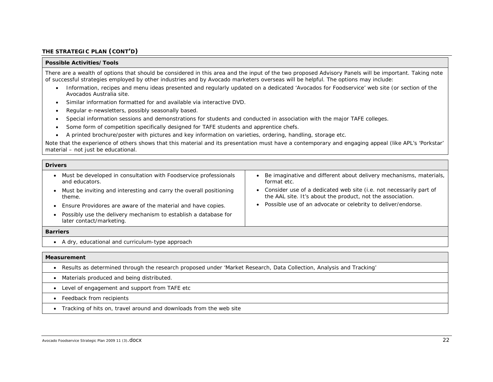#### *THE STRATEGIC PLAN (CONT'D)*

#### *Possible Activities/Tools*

There are a wealth of options that should be considered in this area and the input of the two proposed Advisory Panels will be important. Taking note of successful strategies employed by other industries and by Avocado marketers overseas will be helpful. The options may include:

- Information, recipes and menu ideas presented and regularly updated on a dedicated 'Avocados for Foodservice' web site (or section of the Avocados Australia site.
- •Similar information formatted for and available via interactive DVD.
- •Regular e-newsletters, possibly seasonally based.
- •Special information sessions and demonstrations for students and conducted in association with the major TAFE colleges.
- •Some form of competition specifically designed for TAFE students and apprentice chefs.
- •A printed brochure/poster with pictures and key information on varieties, ordering, handling, storage etc.

Note that the experience of others shows that this material and its presentation must have a contemporary and engaging appeal (like APL's 'Porkstar' material – not just be educational.

#### *Drivers* • Must be developed in consultation with Foodservice professionals and educators. • Must be inviting and interesting and carry the overall positioning theme. • Ensure Providores are aware of the material and have copies. • Possibly use the delivery mechanism to establish a database for later contact/marketing. • Be imaginative and different about delivery mechanisms, materials, format etc. • Consider use of a dedicated web site (i.e. not necessarily part of the AAL site. It's about the product, not the association. • Possible use of an advocate or celebrity to deliver/endorse.

#### *Barriers*

• A dry, educational and curriculum-type approach

#### *Measurement*

- Results as determined through the research proposed under 'Market Research, Data Collection, Analysis and Tracking'
- Materials produced and being distributed.
- Level of engagement and support from TAFE etc
- Feedback from recipients
- Tracking of hits on, travel around and downloads from the web site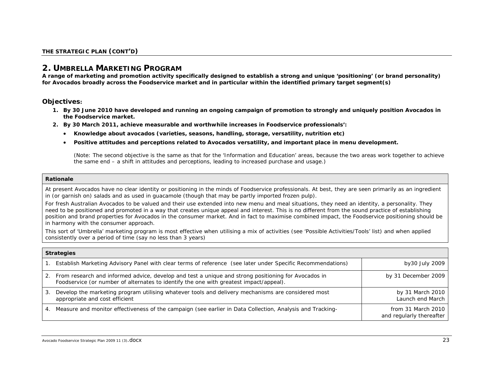# *2. UMBRELLA MARKETING PROGRAM*

**A range of marketing and promotion activity specifically designed to establish a strong and unique 'positioning' (or brand personality) for Avocados broadly across the Foodservice market and in particular within the identified primary target segment(s)**

### *Objectives:*

- *1. By 30 June 2010 have developed and running an ongoing campaign of promotion to strongly and uniquely position Avocados in the Foodservice market.*
- *2. By 30 March 2011, achieve measurable and worthwhile increases in Foodservice professionals':* 
	- *Knowledge about avocados (varieties, seasons, handling, storage, versatility, nutrition etc)*
	- *Positive attitudes and perceptions related to Avocados versatility, and important place in menu development.*

*(Note: The second objective is the same as that for the 'Information and Education' areas, because the two areas work together to achieve the same end – a shift in attitudes and perceptions, leading to increased purchase and usage.)* 

#### *Rationale*

*At present Avocados have no clear identity or positioning in the minds of Foodservice professionals. At best, they are seen primarily as an ingredient*  in (or garnish on) salads and as used in guacamole (though that may be partly imported frozen pulp).

*For fresh Australian Avocados to be valued and their use extended into new menu and meal situations, they need an identity, a personality. They need to be positioned and promoted in a way that creates unique appeal and interest. This is no different from the sound practice of establishing position and brand properties for Avocados in the consumer market. And in fact to maximise combined impact, the Foodservice positioning should be in harmony with the consumer approach.* 

*This sort of 'Umbrella' marketing program is most effective when utilising a mix of activities (see 'Possible Activities/Tools' list) and when applied consistently over a period of time (say no less than 3 years)* 

| <b>Strategies</b> |                                                                                                                                                                                                  |                                                |
|-------------------|--------------------------------------------------------------------------------------------------------------------------------------------------------------------------------------------------|------------------------------------------------|
|                   | Establish Marketing Advisory Panel with clear terms of reference (see later under Specific Recommendations)                                                                                      | by30 July 2009                                 |
|                   | 2. From research and informed advice, develop and test a unique and strong positioning for Avocados in<br>Foodservice (or number of alternates to identify the one with greatest impact/appeal). | by 31 December 2009                            |
| 3.                | Develop the marketing program utilising whatever tools and delivery mechanisms are considered most<br>appropriate and cost efficient                                                             | by 31 March 2010<br>Launch end March           |
| 4.                | Measure and monitor effectiveness of the campaign (see earlier in Data Collection, Analysis and Tracking-                                                                                        | from 31 March 2010<br>and regularly thereafter |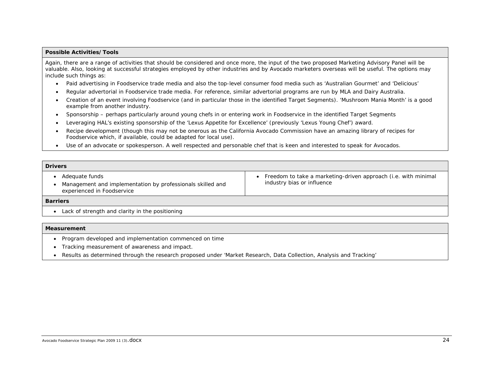#### *Possible Activities/Tools*

Again, there are a range of activities that should be considered and once more, the input of the two proposed Marketing Advisory Panel will be valuable. Also, looking at successful strategies employed by other industries and by Avocado marketers overseas will be useful. The options may include such things as:

- •Paid advertising in Foodservice trade media and also the top-level consumer food media such as 'Australian Gourmet' and 'Delicious'
- •Regular advertorial in Foodservice trade media. For reference, similar advertorial programs are run by MLA and Dairy Australia.
- • Creation of an event involving Foodservice (and in particular those in the identified Target Segments). 'Mushroom Mania Month' is a good example from another industry.
- •Sponsorship – perhaps particularly around young chefs in or entering work in Foodservice in the identified Target Segments
- •Leveraging HAL's existing sponsorship of the 'Lexus Appetite for Excellence' (previously 'Lexus Young Chef') award.
- • Recipe development (though this may not be onerous as the California Avocado Commission have an amazing library of recipes for Foodservice which, if available, could be adapted for local use).
- Use of an advocate or spokesperson. A well respected and personable chef that is keen and interested to speak for Avocados.

| <b>Drivers</b>                                                                                             |                                                                                              |  |  |
|------------------------------------------------------------------------------------------------------------|----------------------------------------------------------------------------------------------|--|--|
| Adequate funds<br>Management and implementation by professionals skilled and<br>experienced in Foodservice | Freedom to take a marketing-driven approach (i.e. with minimal<br>industry bias or influence |  |  |
| <b>Barriers</b>                                                                                            |                                                                                              |  |  |
| Lack of strength and clarity in the positioning                                                            |                                                                                              |  |  |

#### *Measurement*

- Program developed and implementation commenced on time
- Tracking measurement of awareness and impact.
- Results as determined through the research proposed under 'Market Research, Data Collection, Analysis and Tracking'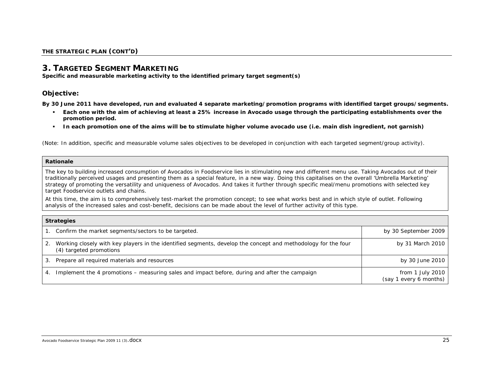# *3. TARGETED SEGMENT MARKETING*

**Specific and measurable marketing activity to the identified primary target segment(s)**

### **Objective:**

*By 30 June 2011 have developed, run and evaluated 4 separate marketing/promotion programs with identified target groups/segments.* 

- *Each one with the aim of achieving at least a 25% increase in Avocado usage through the participating establishments over the promotion period.*
- *In each promotion one of the aims will be to stimulate higher volume avocado use (i.e. main dish ingredient, not garnish)*

*(Note: In addition, specific and measurable volume sales objectives to be developed in conjunction with each targeted segment/group activity).* 

#### *Rationale*

*The key to building increased consumption of Avocados in Foodservice lies in stimulating new and different menu use. Taking Avocados out of their traditionally perceived usages and presenting them as a special feature, in a new way. Doing this capitalises on the overall 'Umbrella Marketing' strategy of promoting the versatility and uniqueness of Avocados. And takes it further through specific meal/menu promotions with selected key target Foodservice outlets and chains.* 

*At this time, the aim is to comprehensively test-market the promotion concept; to see what works best and in which style of outlet. Following analysis of the increased sales and cost-benefit, decisions can be made about the level of further activity of this type.* 

| <b>Strategies</b> |                                                                                                                                          |                                            |
|-------------------|------------------------------------------------------------------------------------------------------------------------------------------|--------------------------------------------|
|                   | Confirm the market segments/sectors to be targeted.                                                                                      | by 30 September 2009                       |
| $\cdot$ 2.        | Working closely with key players in the identified segments, develop the concept and methodology for the four<br>(4) targeted promotions | by 31 March 2010                           |
| 3.                | Prepare all required materials and resources                                                                                             | by 30 June 2010                            |
|                   | Implement the 4 promotions – measuring sales and impact before, during and after the campaign                                            | from 1 July 2010<br>(say 1 every 6 months) |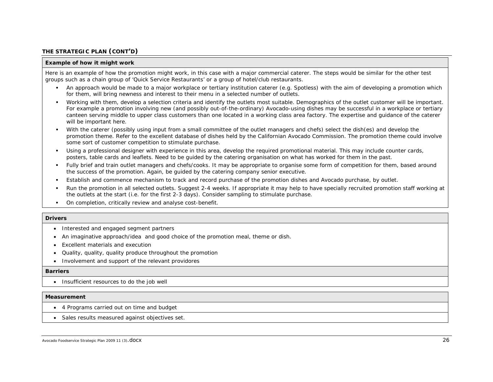#### *THE STRATEGIC PLAN (CONT'D)*

#### *Example of how it might work*

Here is an example of how the promotion might work, in this case with a major commercial caterer. The steps would be similar for the other test groups such as a chain group of 'Quick Service Restaurants' or a group of hotel/club restaurants.

- An approach would be made to a major workplace or tertiary institution caterer (e.g. Spotless) with the aim of developing a promotion which for them, will bring newness and interest to their menu in a selected number of outlets.
- $\blacksquare$  Working with them, develop a selection criteria and identify the outlets most suitable. Demographics of the outlet customer will be important. For example a promotion involving new (and possibly out-of-the-ordinary) Avocado-using dishes may be successful in a workplace or tertiary canteen serving middle to upper class customers than one located in a working class area factory. The expertise and guidance of the caterer will be important here.
- With the caterer (possibly using input from a small committee of the outlet managers and chefs) select the dish(es) and develop the promotion theme. Refer to the excellent database of dishes held by the Californian Avocado Commission. The promotion theme could involve some sort of customer competition to stimulate purchase.
- Using a professional designer with experience in this area, develop the required promotional material. This may include counter cards, posters, table cards and leaflets. Need to be guided by the catering organisation on what has worked for them in the past.
- Fully brief and train outlet managers and chefs/cooks. It may be appropriate to organise some form of competition for them, based around the success of the promotion. Again, be guided by the catering company senior executive.
- $\mathbf{u}$  . Establish and commence mechanism to track and record purchase of the promotion dishes and Avocado purchase, by outlet.
- г Run the promotion in all selected outlets. Suggest 2-4 weeks. If appropriate it may help to have specially recruited promotion staff working at the outlets at the start (i.e. for the first 2-3 days). Consider sampling to stimulate purchase.
- $\bullet$ On completion, critically review and analyse cost-benefit.

#### *Drivers*

- Interested and engaged segment partners
- An imaginative approach/idea and good choice of the promotion meal, theme or dish.
- Excellent materials and execution
- Quality, quality, quality produce throughout the promotion
- Involvement and support of the relevant providores

#### *Barriers*

• Insufficient resources to do the job well

#### *Measurement*

- 4 Programs carried out on time and budget
- Sales results measured against objectives set.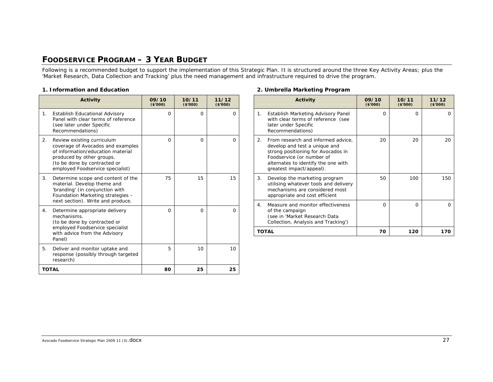# **FOODSERVICE PROGRAM – 3 YEAR BUDGET**

Following is a recommended budget to support the implementation of this Strategic Plan. It is structured around the three Key Activity Areas; plus the 'Market Research, Data Collection and Tracking' plus the need management and infrastructure required to drive the program.

#### **1. Information and Education**

|                | <b>Activity</b>                                                                                                                                                                                       | 09/10<br>(\$7000) | 10/11<br>(\$7000) | 11/12<br>(\$'000) |
|----------------|-------------------------------------------------------------------------------------------------------------------------------------------------------------------------------------------------------|-------------------|-------------------|-------------------|
| $\mathbf{1}$ . | Establish Educational Advisory<br>Panel with clear terms of reference<br>(see later under Specific<br>Recommendations)                                                                                | $\Omega$          | $\Omega$          | O                 |
| 2.             | Review existing curriculum<br>coverage of Avocados and examples<br>of information/education material<br>produced by other groups.<br>(to be done by contracted or<br>employed Foodservice specialist) | $\Omega$          | $\Omega$          | O                 |
| 3.             | Determine scope and content of the<br>material. Develop theme and<br>'branding' (in conjunction with<br>Foundation Marketing strategies -<br>next section). Write and produce.                        | 75                | 15                | 15                |
| 4.             | Determine appropriate delivery<br>mechanisms.<br>(to be done by contracted or<br>employed Foodservice specialist<br>with advice from the Advisory<br>Panel)                                           | $\Omega$          | O                 | O                 |
| 5.             | Deliver and monitor uptake and<br>response (possibly through targeted<br>research)                                                                                                                    | 5                 | 10                | 10                |
|                | <b>TOTAL</b>                                                                                                                                                                                          | 80                | 25                | 25                |

#### **2. Umbrella Marketing Program**

|                | <b>Activity</b>                                                                                                                                                                                           | 09/10<br>(\$7000) | 10/11<br>(\$7000) | 11/12<br>(\$7000) |
|----------------|-----------------------------------------------------------------------------------------------------------------------------------------------------------------------------------------------------------|-------------------|-------------------|-------------------|
| $\mathbf{1}$ . | Establish Marketing Advisory Panel<br>with clear terms of reference (see<br>later under Specific<br>Recommendations)                                                                                      | $\Omega$          | $\Omega$          | $\Omega$          |
| 2.             | From research and informed advice,<br>develop and test a unique and<br>strong positioning for Avocados in<br>Foodservice (or number of<br>alternates to identify the one with<br>greatest impact/appeal). | 20                | 20                | 20                |
| 3.             | Develop the marketing program<br>utilising whatever tools and delivery<br>mechanisms are considered most<br>appropriate and cost efficient                                                                | 50                | 100               | 150               |
| 4.             | Measure and monitor effectiveness<br>of the campaign<br>(see in 'Market Research Data<br>Collection, Analysis and Tracking')                                                                              | $\Omega$          | $\Omega$          | $\Omega$          |
|                | <b>TOTAL</b>                                                                                                                                                                                              | 70                | 120               | 170               |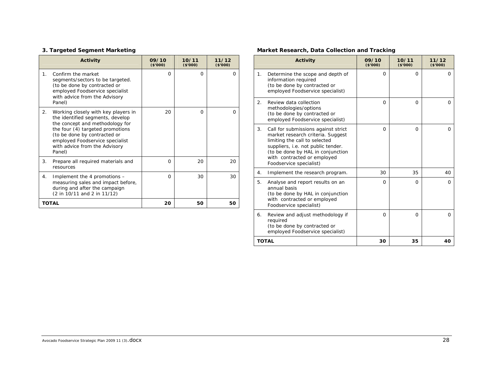# **3. Targeted Segment Marketing**

|           | <b>Activity</b>                                                                                                                                                                                                                                              | 09/10<br>(\$7000) | 10/11<br>(\$7000) | 11/12<br>(\$7000) |
|-----------|--------------------------------------------------------------------------------------------------------------------------------------------------------------------------------------------------------------------------------------------------------------|-------------------|-------------------|-------------------|
| $1 \cdot$ | Confirm the market<br>segments/sectors to be targeted.<br>(to be done by contracted or<br>employed Foodservice specialist<br>with advice from the Advisory<br>Panel)                                                                                         | O                 | $\Omega$          | $\Omega$          |
| 2.        | Working closely with key players in<br>the identified segments, develop<br>the concept and methodology for<br>the four (4) targeted promotions<br>(to be done by contracted or<br>employed Foodservice specialist<br>with advice from the Advisory<br>Panel) | 20                | $\Omega$          | $\Omega$          |
| 3.        | Prepare all required materials and<br>resources                                                                                                                                                                                                              | 0                 | 20                | 20                |
| 4.        | Implement the 4 promotions -<br>measuring sales and impact before,<br>during and after the campaign<br>(2 in 10/11 and 2 in 11/12)                                                                                                                           | O                 | 30                | 30                |
|           | TOTAL                                                                                                                                                                                                                                                        | 20                | 50                | 50                |

# **Market Research, Data Collection and Tracking**

|    | <b>Activity</b>                                                                                                                                                                                                                                | 09/10<br>(\$7000) | 10/11<br>(\$7000) | 11/12<br>(\$7000) |
|----|------------------------------------------------------------------------------------------------------------------------------------------------------------------------------------------------------------------------------------------------|-------------------|-------------------|-------------------|
| 1. | Determine the scope and depth of<br>information required<br>(to be done by contracted or<br>employed Foodservice specialist)                                                                                                                   | $\Omega$          | $\Omega$          | $\Omega$          |
| 2. | Review data collection<br>methodologies/options<br>(to be done by contracted or<br>employed Foodservice specialist)                                                                                                                            | $\Omega$          | $\Omega$          | $\Omega$          |
| 3. | Call for submissions against strict<br>market research criteria. Suggest<br>limiting the call to selected<br>suppliers, i.e. not public tender.<br>(to be done by HAL in conjunction<br>with contracted or employed<br>Foodservice specialist) | $\Omega$          | $\Omega$          | $\Omega$          |
| 4. | Implement the research program.                                                                                                                                                                                                                | 30                | 35                | 40                |
| 5. | Analyse and report results on an<br>annual basis<br>(to be done by HAL in conjunction<br>with contracted or employed<br>Foodservice specialist)                                                                                                | $\Omega$          | $\Omega$          | $\Omega$          |
| 6. | Review and adjust methodology if<br>required<br>(to be done by contracted or<br>employed Foodservice specialist)                                                                                                                               | $\Omega$          | $\Omega$          | $\Omega$          |
|    | <b>TOTAL</b>                                                                                                                                                                                                                                   | 30                | 35                | 40                |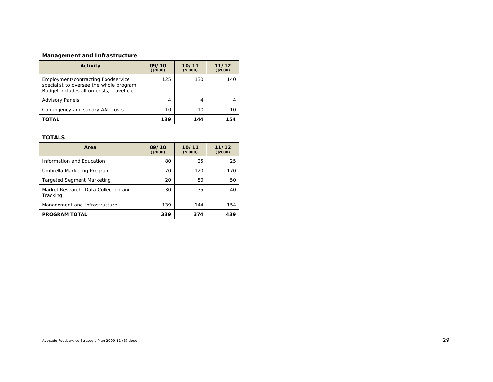# **Management and Infrastructure**

| Activity                                                                                                                   | 09/10<br>(\$7000) | 10/11<br>(\$'000) | 11/12<br>(\$7000) |
|----------------------------------------------------------------------------------------------------------------------------|-------------------|-------------------|-------------------|
| Employment/contracting Foodservice<br>specialist to oversee the whole program.<br>Budget includes all on-costs, travel etc | 125               | 130               | 140               |
| <b>Advisory Panels</b>                                                                                                     | 4                 | 4                 |                   |
| Contingency and sundry AAL costs                                                                                           | 10                | 10                | 10                |
| TOTAL                                                                                                                      | 139               | 144               | 154               |

#### **TOTALS**

| Area                                             | 09/10<br>(\$7000) | 10/11<br>(\$'000) | 11/12<br>(\$'000) |
|--------------------------------------------------|-------------------|-------------------|-------------------|
| Information and Education                        | 80                | 25                | 25                |
| Umbrella Marketing Program                       | 70                | 120               | 170               |
| <b>Targeted Segment Marketing</b>                | 20                | 50                | 50                |
| Market Research, Data Collection and<br>Tracking | 30                | 35                | 40                |
| Management and Infrastructure                    | 139               | 144               | 154               |
| <b>PROGRAM TOTAL</b>                             | 339               | 374               | 439               |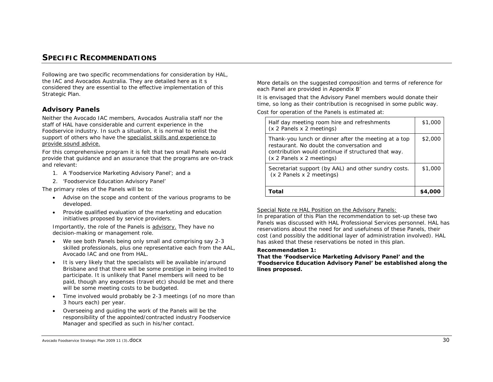# **SPECIFIC RECOMMENDATIONS**

Following are two specific recommendations for consideration by HAL, the IAC and Avocados Australia. They are detailed here as it s considered they are essential to the effective implementation of this Strategic Plan.

# *Advisory Panels*

Neither the Avocado IAC members, Avocados Australia staff nor the staff of HAL have considerable and current experience in the Foodservice industry. In such a situation, it is normal to enlist the support of others who have the specialist skills and experience to provide sound advice.

For this comprehensive program it is felt that two small Panels would provide that guidance and an assurance that the programs are on-track and relevant:

- 1. A 'Foodservice Marketing Advisory Panel'; and a
- 2. 'Foodservice Education Advisory Panel'

The primary roles of the Panels will be to:

- Advise on the scope and content of the various programs to be developed.
- • Provide qualified evaluation of the marketing and education initiatives proposed by service providers.

Importantly, the role of the Panels is advisory. They have no decision-making or management role.

- We see both Panels being only small and comprising say 2-3 skilled professionals, plus one representative each from the AAL, Avocado IAC and one from HAL.
- It is very likely that the specialists will be available in/around Brisbane and that there will be some prestige in being invited to participate. It is unlikely that Panel members will need to be paid, though any expenses (travel etc) should be met and there will be some meeting costs to be budgeted.
- • Time involved would probably be 2-3 meetings (of no more than 3 hours each) per year.
- Overseeing and guiding the work of the Panels will be the responsibility of the appointed/contracted industry Foodservice Manager and specified as such in his/her contact.

More details on the suggested composition and terms of reference for each Panel are provided in Appendix B'

It is envisaged that the Advisory Panel members would donate their time, so long as their contribution is recognised in some public way.

Cost for operation of the Panels is estimated at:

| Half day meeting room hire and refreshments<br>(x 2 Panels x 2 meetings)                                                                                                              | \$1,000 |
|---------------------------------------------------------------------------------------------------------------------------------------------------------------------------------------|---------|
| Thank-you lunch or dinner after the meeting at a top<br>restaurant. No doubt the conversation and<br>contribution would continue if structured that way.<br>(x 2 Panels x 2 meetings) | \$2,000 |
| Secretariat support (by AAL) and other sundry costs.<br>(x 2 Panels x 2 meetings)                                                                                                     | \$1,000 |
| Total                                                                                                                                                                                 |         |

#### Special Note re HAL Position on the Advisory Panels:

In preparation of this Plan the recommendation to set-up these two Panels was discussed with HAL Professional Services personnel. HAL has reservations about the need for and usefulness of these Panels, their cost (and possibly the additional layer of administration involved). HAL has asked that these reservations be noted in this plan.

#### *Recommendation 1:*

*That the 'Foodservice Marketing Advisory Panel' and the 'Foodservice Education Advisory Panel' be established along the lines proposed.* 

Avocado Foodservice Strategic Plan 2009 11 (3).  $\text{docX}$  30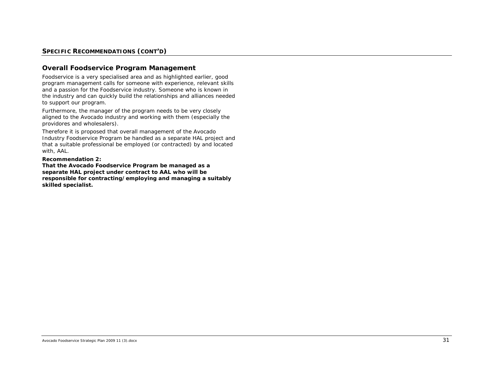### *SPECIFIC RECOMMENDATIONS (CONT'D)*

### *Overall Foodservice Program Management*

Foodservice is a very specialised area and as highlighted earlier, good program management calls for someone with experience, relevant skills and a *passion* for the Foodservice industry. Someone who is known in the industry and can quickly build the relationships and alliances needed to support our program.

Furthermore, the manager of the program needs to be very closely aligned to the Avocado industry and working with them (especially the providores and wholesalers).

Therefore it is proposed that overall management of the Avocado Industry Foodservice Program be handled as a separate HAL project and that a suitable professional be employed (or contracted) by and located with, AAL.

#### *Recommendation 2:*

*That the Avocado Foodservice Program be managed as a separate HAL project under contract to AAL who will be responsible for contracting/employing and managing a suitably skilled specialist.*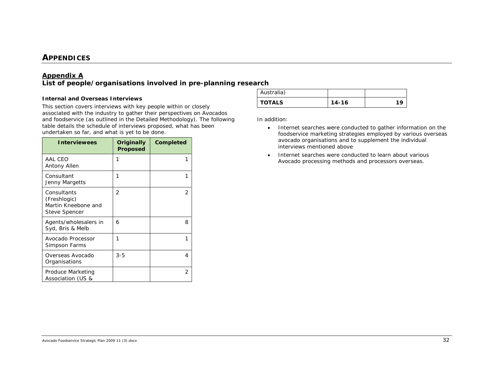# **APPENDICES**

# *Appendix A*

# *List of people/organisations involved in pre-planning research*

#### *Internal and Overseas Interviews*

This section covers interviews with key people within or closely associated with the industry to gather their perspectives on Avocados and foodservice (as outlined in the Detailed Methodology). The following table details the schedule of interviews proposed, what has been undertaken so far, and what is yet to be done.

| <b>Interviewees</b>                                                        | Originally<br>Proposed | Completed |
|----------------------------------------------------------------------------|------------------------|-----------|
| AAL CEO<br>Antony Allen                                                    | 1                      | 1         |
| Consultant<br>Jenny Margetts                                               | 1                      | 1         |
| Consultants<br>(Freshlogic)<br>Martin Kneebone and<br><b>Steve Spencer</b> | $\overline{2}$         | 2         |
| Agents/wholesalers in<br>Syd, Bris & Melb                                  | 6                      | 8         |
| Avocado Processor<br>Simpson Farms                                         | 1                      | 1         |
| Overseas Avocado<br>Organisations                                          | $3 - 5$                | 4         |
| Produce Marketing<br>Association (US &                                     |                        | 2         |

| Australia)    |       |    |
|---------------|-------|----|
| <b>TOTALS</b> | 14-16 | 10 |

In addition:

- Internet searches were conducted to gather information on the foodservice marketing strategies employed by various overseas avocado organisations and to supplement the individual interviews mentioned above
- Internet searches were conducted to learn about various Avocado processing methods and processors overseas.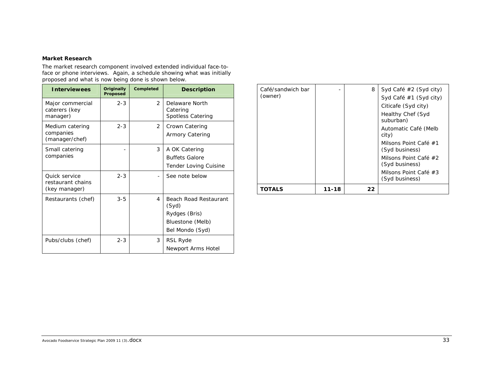#### *Market Research*

The market research component involved extended individual face-toface or phone interviews. Again, a schedule showing what was initially proposed and what is now being done is shown below.

| <b>Interviewees</b>                                        | Originally<br><b>Proposed</b> | <b>Completed</b> | <b>Description</b>                                                                            |
|------------------------------------------------------------|-------------------------------|------------------|-----------------------------------------------------------------------------------------------|
| Major commercial<br>caterers (key<br>manager)              | $2 - 3$                       | $\mathcal{P}$    | Delaware North<br>Catering<br><b>Spotless Catering</b>                                        |
| Medium catering<br>companies<br>(manager/chef)             | $2 - 3$                       | $\mathcal{P}$    | Crown Catering<br><b>Armory Catering</b>                                                      |
| Small catering<br>companies                                |                               | 3                | A OK Catering<br><b>Buffets Galore</b><br><b>Tender Loving Cuisine</b>                        |
| <b>Ouick service</b><br>restaurant chains<br>(key manager) | $2 - 3$                       |                  | See note below                                                                                |
| Restaurants (chef)                                         | $3 - 5$                       | 4                | <b>Beach Road Restaurant</b><br>(Syd)<br>Rydges (Bris)<br>Bluestone (Melb)<br>Bel Mondo (Syd) |
| Pubs/clubs (chef)                                          | $2 - 3$                       | 3                | RSL Ryde<br>Newport Arms Hotel                                                                |

| Café/sandwich bar |       | 8  | Syd Café $#2$ (Syd city)                |
|-------------------|-------|----|-----------------------------------------|
| (owner)           |       |    | Syd Café #1 (Syd city)                  |
|                   |       |    | Citicafe (Syd city)                     |
|                   |       |    | Healthy Chef (Syd<br>suburban)          |
|                   |       |    | Automatic Café (Melb<br>city)           |
|                   |       |    | Milsons Point Café #1<br>(Syd business) |
|                   |       |    | Milsons Point Café #2<br>(Syd business) |
|                   |       |    | Milsons Point Café #3                   |
|                   |       |    | (Syd business)                          |
| TOTALS            | 11-18 | 22 |                                         |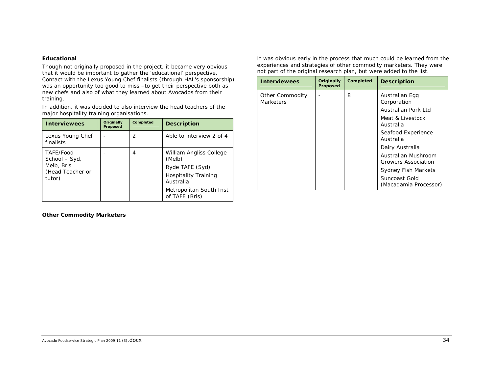#### *Educational*

Though not originally proposed in the project, it became very obvious that it would be important to gather the 'educational' perspective. Contact with the Lexus Young Chef finalists (through HAL's sponsorship) was an opportunity too good to miss –to get their perspective both as new chefs and also of what they learned about Avocados from their training.

In addition, it was decided to also interview the head teachers of the major hospitality training organisations.

| <b>Interviewees</b>                                                    | Originally<br>Proposed | Completed     | <b>Description</b>                                                                                                                            |
|------------------------------------------------------------------------|------------------------|---------------|-----------------------------------------------------------------------------------------------------------------------------------------------|
| Lexus Young Chef<br>finalists                                          |                        | $\mathcal{P}$ | Able to interview 2 of 4                                                                                                                      |
| TAFE/Food<br>School - Syd,<br>Melb, Bris<br>(Head Teacher or<br>tutor) |                        | 4             | William Angliss College<br>(Melb)<br>Ryde TAFE (Syd)<br><b>Hospitality Training</b><br>Australia<br>Metropolitan South Inst<br>of TAFE (Bris) |

It was obvious early in the process that much could be learned from the experiences and strategies of other commodity marketers. They were not part of the original research plan, but were added to the list.

| <b>Interviewees</b>                 | Originally<br><b>Proposed</b> | Completed | <b>Description</b>                         |
|-------------------------------------|-------------------------------|-----------|--------------------------------------------|
| Other Commodity<br><b>Marketers</b> |                               | 8         | Australian Egg<br>Corporation              |
|                                     |                               |           | Australian Pork Ltd                        |
|                                     |                               |           | <i>Meat &amp; Livestock</i><br>Australia   |
|                                     |                               |           | Seafood Experience<br>Australia            |
|                                     |                               |           | Dairy Australia                            |
|                                     |                               |           | Australian Mushroom<br>Growers Association |
|                                     |                               |           | <b>Sydney Fish Markets</b>                 |
|                                     |                               |           | Suncoast Gold<br>(Macadamia Processor)     |

*Other Commodity Marketers*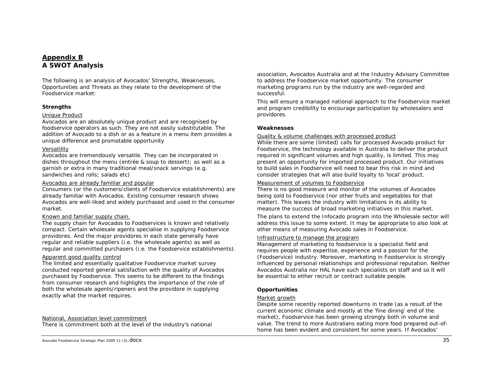# *Appendix B A SWOT Analysis*

The following is an analysis of Avocados' Strengths, Weaknesses, Opportunities and Threats as they relate to the development of the Foodservice market:

#### **Strengths**

#### Unique Product

Avocados are an absolutely unique product and are recognised by foodservice operators as such. They are not easily substitutable. The addition of Avocado to a dish or as a feature in a menu item provides a unique difference and promotable opportunity

#### Versatility

Avocados are tremendously versatile. They can be incorporated in dishes throughout the menu (entrée & soup to dessert); as well as a garnish or extra in many traditional meal/snack servings (e.g. sandwiches and rolls; salads etc)

#### Avocados are already familiar and popular

Consumers (or the customers/clients of Foodservice establishments) are already familiar with Avocados. Existing consumer research shows Avocados are well-liked and widely purchased and used in the consumer market.

#### Known and familiar supply chain.

The supply chain for Avocados to Foodservices is known and relatively compact. Certain wholesale agents specialise in supplying Foodservice providores. And the major providores in each state generally have regular and reliable suppliers (i.e. the wholesale agents) as well as regular and committed purchasers (i.e. the Foodservice establishments).

#### Apparent good quality control

The limited and essentially qualitative Foodservice market survey conducted reported general satisfaction with the quality of Avocados purchased by Foodservice. This seems to be different to the findings from consumer research and highlights the importance of the role of both the wholesale agents/ripeners and the providore in supplying exactly what the market requires.

National, Association level commitment

There is commitment both at the level of the industry's national

Avocado Foodservice Strategic Plan 2009 11 (3).  $\sf{docx}$  35

association, Avocados Australia and at the Industry Advisory Committee to address the Foodservice market opportunity. The consumer marketing programs run by the industry are well-regarded and successful.

This will ensure a managed national approach to the Foodservice market and program credibility to encourage participation by wholesalers and providores.

#### **Weaknesses**

#### Quality & volume challenges with processed product

While there are some (limited) calls for processed Avocado product for Foodservice, the technology available in Australia to deliver the product required in significant volumes and high quality, is limited. This may present an opportunity for imported processed product. Our initiatives to build sales in Foodservice will need to bear this risk in mind and consider strategies that will also build loyalty to 'local' product.

#### Measurement of volumes to Foodservice

There is no good measure and monitor of the volumes of Avocados being sold to Foodservice (nor other fruits and vegetables for that matter). This leaves the industry with limitations in its ability to measure the success of broad marketing initiatives in this market.

The plans to extend the Infocado program into the Wholesale sector will address this issue to some extent. It may be appropriate to also look at other means of measuring Avocado sales in Foodservice.

#### Infrastructure to manage the program

Management of marketing to foodservice is a specialist field and requires people with expertise, experience and a passion for the (Foodservice) industry. Moreover, marketing in Foodservice is strongly influenced by personal relationships and professional reputation. Neither Avocados Australia nor HAL have such specialists on staff and so it will be essential to either recruit or contract suitable people.

#### **Opportunities**

#### Market growth

Despite some recently reported downturns in trade (as a result of the current economic climate and mostly at the 'fine dining' end of the market), Foodservice has been growing strongly both in volume and value. The trend to more Australians eating more food prepared out-ofhome has been evident and consistent for some years. If Avocados'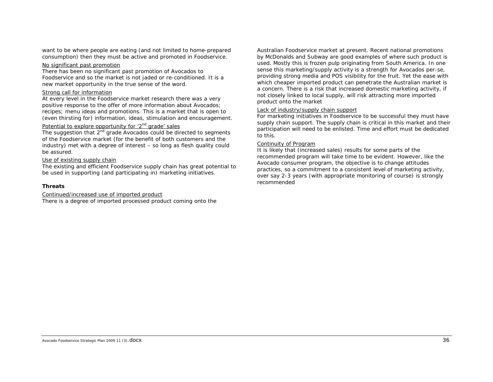want to be where people are eating (and not limited to home-prepared consumption) then they must be active and promoted in Foodservice.

#### No significant past promotion

There has been no significant past promotion of Avocados to Foodservice and so the market is not jaded or re-conditioned. It is a new market opportunity in the true sense of the word.

#### Strong call for information

At every level in the Foodservice market research there was a very positive response to the offer of more information about Avocados; recipes; menu ideas and promotions. This is a market that is open to (even thirsting for) information, ideas, stimulation and encouragement.

#### Potential to explore opportunity for '2<sup>nd</sup> grade' sales

The suggestion that  $2^{nd}$  grade Avocados could be directed to segments of the Foodservice market (for the benefit of both customers and the industry) met with a degree of interest – *so long as flesh quality could be assured.* 

#### Use of existing supply chain

The existing and efficient Foodservice supply chain has great potential to be used in supporting (and participating in) marketing initiatives.

#### **Threats**

Continued/increased use of imported product

There is a degree of imported processed product coming onto the

Australian Foodservice market at present. Recent national promotions by McDonalds and Subway are good examples of where such product is used. Mostly this is frozen pulp originating from South America. *In one sense this marketing/supply activity is a strength* for Avocados per-se, providing strong media and POS visibility for the fruit. Yet the ease with which cheaper imported product can penetrate the Australian market is a concern. There is a risk that increased domestic marketing activity, if not closely linked to local supply, will risk attracting more imported product onto the market

#### Lack of industry/supply chain support

For marketing initiatives in Foodservice to be successful they *must* have supply chain support. The supply chain is critical in this market and their participation will need to be enlisted. Time and effort must be dedicated to this.

#### Continuity of Program

It is likely that (increased sales) results for some parts of the recommended program will take time to be evident. However, like the Avocado consumer program, the objective is to change attitudes practices, so a commitment to a consistent level of marketing activity, over say 2-3 years (with appropriate monitoring of course) is strongly recommended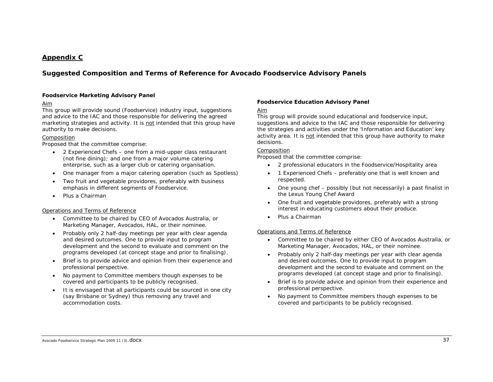# *Appendix C*

# *Suggested Composition and Terms of Reference for Avocado Foodservice Advisory Panels*

#### **Foodservice Marketing Advisory Panel**

#### Aim

This group will provide sound (Foodservice) industry input, suggestions and advice to the IAC and those responsible for delivering the agreed marketing strategies and activity. It is not intended that this group have authority to make decisions.

#### Composition

Proposed that the committee comprise:

- • 2 Experienced Chefs – one from a mid-upper class restaurant (not fine dining); and one from a major volume catering enterprise, such as a larger club or catering organisation.
- One manager from a major catering operation (such as Spotless)
- • Two fruit and vegetable providores, preferably with business emphasis in different segments of Foodservice.
- •Plus a Chairman

#### Operations and Terms of Reference

- Committee to be chaired by CEO of Avocados Australia, or Marketing Manager, Avocados, HAL, or their nominee.
- • Probably only 2 half-day meetings per year with clear agenda and desired outcomes. One to provide input to program development and the second to evaluate and comment on the programs developed (at concept stage and prior to finalising).
- • Brief is to provide advice and opinion from their experience and professional perspective.
- • No payment to Committee members though expenses to be covered and participants to be publicly recognised.
- It is envisaged that all participants could be sourced in one city (say Brisbane or Sydney) thus removing any travel and accommodation costs.

#### **Foodservice Education Advisory Panel**

#### Aim

This group will provide sound educational and foodservice input, suggestions and advice to the IAC and those responsible for delivering the strategies and activities under the 'Information and Education' key activity area. It is not intended that this group have authority to make decisions.

#### **Composition**

Proposed that the committee comprise:

- •2 professional educators in the Foodservice/Hospitality area
- • 1 Experienced Chefs – preferably one that is well known and respected.
- • One young chef – possibly (but not necessarily) a past finalist in the Lexus Young Chef Award
- • One fruit and vegetable providores, preferably with a strong interest in educating customers about their produce.
- •Plus a Chairman

#### Operations and Terms of Reference

- Committee to be chaired by either CEO of Avocados Australia, or Marketing Manager, Avocados, HAL, or their nominee.
- • Probably only 2 half-day meetings per year with clear agenda and desired outcomes. One to provide input to program development and the second to evaluate and comment on the programs developed (at concept stage and prior to finalising).
- • Brief is to provide advice and opinion from their experience and professional perspective.
- • No payment to Committee members though expenses to be covered and participants to be publicly recognised.

#### Avocado Foodservice Strategic Plan 2009 11 (3).  $\sf{docX}$  37